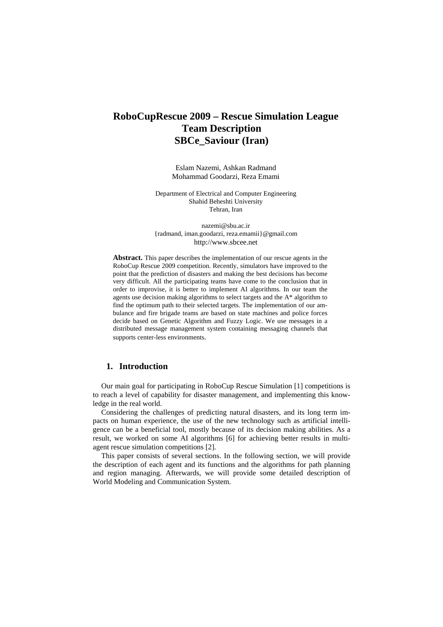# **RoboCupRescue 2009 – Rescue Simulation League Team Description SBCe\_Saviour (Iran)**

Eslam Nazemi, Ashkan Radmand Mohammad Goodarzi, Reza Emami

Department of Electrical and Computer Engineering Shahid Beheshti University Tehran, Iran

nazemi@sbu.ac.ir {radmand, iman.goodarzi, reza.emamii}@gmail.com http://www.sbcee.net

**Abstract.** This paper describes the implementation of our rescue agents in the RoboCup Rescue 2009 competition. Recently, simulators have improved to the point that the prediction of disasters and making the best decisions has become very difficult. All the participating teams have come to the conclusion that in order to improvise, it is better to implement AI algorithms. In our team the agents use decision making algorithms to select targets and the A\* algorithm to find the optimum path to their selected targets. The implementation of our ambulance and fire brigade teams are based on state machines and police forces decide based on Genetic Algorithm and Fuzzy Logic. We use messages in a distributed message management system containing messaging channels that supports center-less environments.

# **1. Introduction**

Our main goal for participating in RoboCup Rescue Simulation [1] competitions is to reach a level of capability for disaster management, and implementing this knowledge in the real world.

Considering the challenges of predicting natural disasters, and its long term impacts on human experience, the use of the new technology such as artificial intelligence can be a beneficial tool, mostly because of its decision making abilities. As a result, we worked on some AI algorithms [6] for achieving better results in multiagent rescue simulation competitions [2].

This paper consists of several sections. In the following section, we will provide the description of each agent and its functions and the algorithms for path planning and region managing. Afterwards, we will provide some detailed description of World Modeling and Communication System.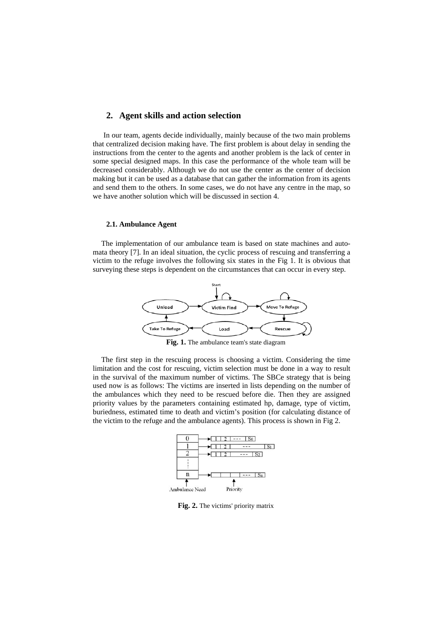## **2. Agent skills and action selection**

In our team, agents decide individually, mainly because of the two main problems that centralized decision making have. The first problem is about delay in sending the instructions from the center to the agents and another problem is the lack of center in some special designed maps. In this case the performance of the whole team will be decreased considerably. Although we do not use the center as the center of decision making but it can be used as a database that can gather the information from its agents and send them to the others. In some cases, we do not have any centre in the map, so we have another solution which will be discussed in section 4.

#### **2.1. Ambulance Agent**

The implementation of our ambulance team is based on state machines and automata theory [7]. In an ideal situation, the cyclic process of rescuing and transferring a victim to the refuge involves the following six states in the Fig 1. It is obvious that surveying these steps is dependent on the circumstances that can occur in every step.



**Fig. 1.** The ambulance team's state diagram

The first step in the rescuing process is choosing a victim. Considering the time limitation and the cost for rescuing, victim selection must be done in a way to result in the survival of the maximum number of victims. The SBCe strategy that is being used now is as follows: The victims are inserted in lists depending on the number of the ambulances which they need to be rescued before die. Then they are assigned priority values by the parameters containing estimated hp, damage, type of victim, buriedness, estimated time to death and victim's position (for calculating distance of the victim to the refuge and the ambulance agents). This process is shown in Fig 2.



**Fig. 2.** The victims' priority matrix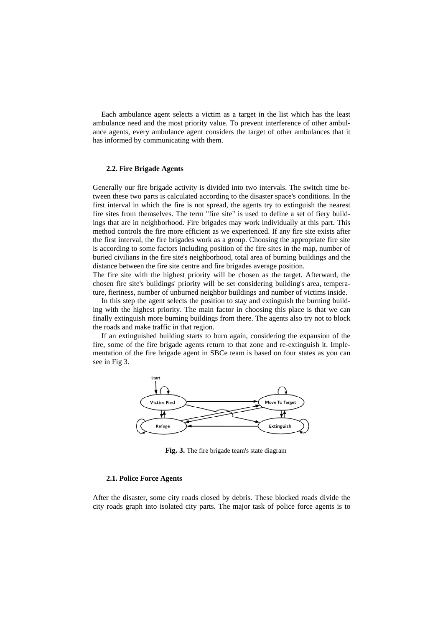Each ambulance agent selects a victim as a target in the list which has the least ambulance need and the most priority value. To prevent interference of other ambulance agents, every ambulance agent considers the target of other ambulances that it has informed by communicating with them.

#### **2.2. Fire Brigade Agents**

Generally our fire brigade activity is divided into two intervals. The switch time between these two parts is calculated according to the disaster space's conditions. In the first interval in which the fire is not spread, the agents try to extinguish the nearest fire sites from themselves. The term "fire site" is used to define a set of fiery buildings that are in neighborhood. Fire brigades may work individually at this part. This method controls the fire more efficient as we experienced. If any fire site exists after the first interval, the fire brigades work as a group. Choosing the appropriate fire site is according to some factors including position of the fire sites in the map, number of buried civilians in the fire site's neighborhood, total area of burning buildings and the distance between the fire site centre and fire brigades average position.

The fire site with the highest priority will be chosen as the target. Afterward, the chosen fire site's buildings' priority will be set considering building's area, temperature, fieriness, number of unburned neighbor buildings and number of victims inside.

In this step the agent selects the position to stay and extinguish the burning building with the highest priority. The main factor in choosing this place is that we can finally extinguish more burning buildings from there. The agents also try not to block the roads and make traffic in that region.

If an extinguished building starts to burn again, considering the expansion of the fire, some of the fire brigade agents return to that zone and re-extinguish it. Implementation of the fire brigade agent in SBCe team is based on four states as you can see in Fig 3.



**Fig. 3.** The fire brigade team's state diagram

#### **2.1. Police Force Agents**

After the disaster, some city roads closed by debris. These blocked roads divide the city roads graph into isolated city parts. The major task of police force agents is to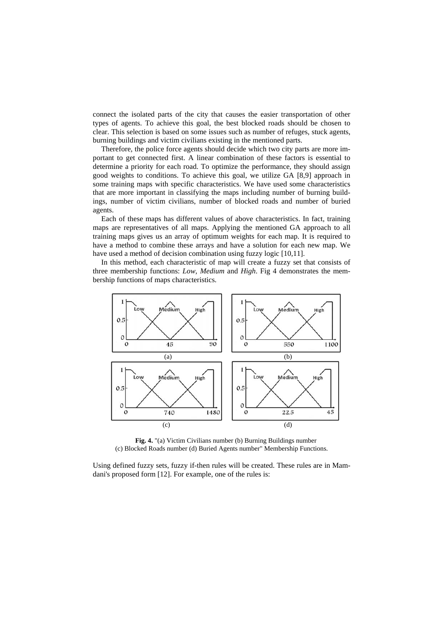connect the isolated parts of the city that causes the easier transportation of other types of agents. To achieve this goal, the best blocked roads should be chosen to clear. This selection is based on some issues such as number of refuges, stuck agents, burning buildings and victim civilians existing in the mentioned parts.

Therefore, the police force agents should decide which two city parts are more important to get connected first. A linear combination of these factors is essential to determine a priority for each road. To optimize the performance, they should assign good weights to conditions. To achieve this goal, we utilize GA [8,9] approach in some training maps with specific characteristics. We have used some characteristics that are more important in classifying the maps including number of burning buildings, number of victim civilians, number of blocked roads and number of buried agents.

Each of these maps has different values of above characteristics. In fact, training maps are representatives of all maps. Applying the mentioned GA approach to all training maps gives us an array of optimum weights for each map. It is required to have a method to combine these arrays and have a solution for each new map. We have used a method of decision combination using fuzzy logic [10,11].

In this method, each characteristic of map will create a fuzzy set that consists of three membership functions: *Low*, *Medium* and *High*. Fig 4 demonstrates the membership functions of maps characteristics.



**Fig. 4.** "(a) Victim Civilians number (b) Burning Buildings number (c) Blocked Roads number (d) Buried Agents number" Membership Functions.

Using defined fuzzy sets, fuzzy if-then rules will be created. These rules are in Mamdani's proposed form [12]. For example, one of the rules is: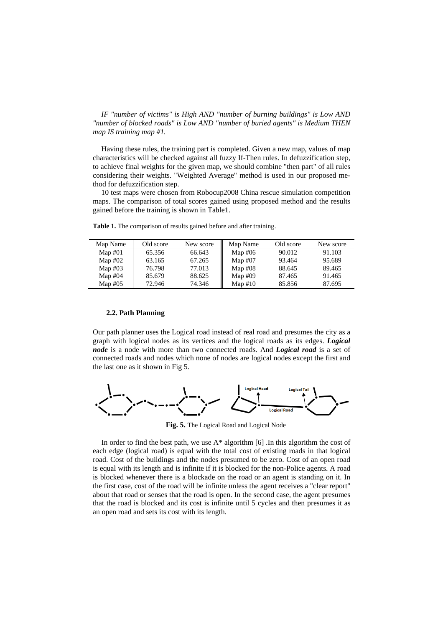*IF "number of victims" is High AND "number of burning buildings" is Low AND "number of blocked roads" is Low AND "number of buried agents" is Medium THEN map IS training map #1.*

Having these rules, the training part is completed. Given a new map, values of map characteristics will be checked against all fuzzy If-Then rules. In defuzzification step, to achieve final weights for the given map, we should combine "then part" of all rules considering their weights. "Weighted Average" method is used in our proposed method for defuzzification step.

10 test maps were chosen from Robocup2008 China rescue simulation competition maps. The comparison of total scores gained using proposed method and the results gained before the training is shown in Table1.

| Map Name  | Old score | New score | Map Name  | Old score | New score |
|-----------|-----------|-----------|-----------|-----------|-----------|
| Map $#01$ | 65.356    | 66.643    | Map $#06$ | 90.012    | 91.103    |
| Map $#02$ | 63.165    | 67.265    | Map $#07$ | 93.464    | 95.689    |
| Map $#03$ | 76.798    | 77.013    | Map $#08$ | 88.645    | 89.465    |
| Map $#04$ | 85.679    | 88.625    | Map $#09$ | 87.465    | 91.465    |
| Map $#05$ | 72.946    | 74.346    | Map $#10$ | 85.856    | 87.695    |

**Table 1.** The comparison of results gained before and after training.

#### **2.2. Path Planning**

Our path planner uses the Logical road instead of real road and presumes the city as a graph with logical nodes as its vertices and the logical roads as its edges. *Logical node* is a node with more than two connected roads. And *Logical road* is a set of connected roads and nodes which none of nodes are logical nodes except the first and the last one as it shown in Fig 5.



**Fig. 5.** The Logical Road and Logical Node

In order to find the best path, we use  $A^*$  algorithm [6]. In this algorithm the cost of each edge (logical road) is equal with the total cost of existing roads in that logical road. Cost of the buildings and the nodes presumed to be zero. Cost of an open road is equal with its length and is infinite if it is blocked for the non-Police agents. A road is blocked whenever there is a blockade on the road or an agent is standing on it. In the first case, cost of the road will be infinite unless the agent receives a "clear report" about that road or senses that the road is open. In the second case, the agent presumes that the road is blocked and its cost is infinite until 5 cycles and then presumes it as an open road and sets its cost with its length.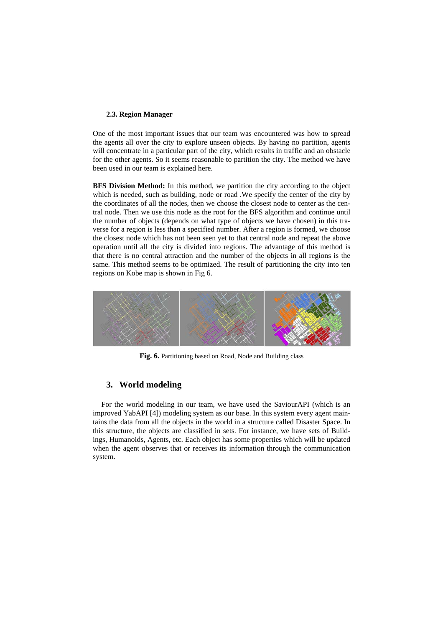#### **2.3. Region Manager**

One of the most important issues that our team was encountered was how to spread the agents all over the city to explore unseen objects. By having no partition, agents will concentrate in a particular part of the city, which results in traffic and an obstacle for the other agents. So it seems reasonable to partition the city. The method we have been used in our team is explained here.

**BFS Division Method:** In this method, we partition the city according to the object which is needed, such as building, node or road .We specify the center of the city by the coordinates of all the nodes, then we choose the closest node to center as the central node. Then we use this node as the root for the BFS algorithm and continue until the number of objects (depends on what type of objects we have chosen) in this traverse for a region is less than a specified number. After a region is formed, we choose the closest node which has not been seen yet to that central node and repeat the above operation until all the city is divided into regions. The advantage of this method is that there is no central attraction and the number of the objects in all regions is the same. This method seems to be optimized. The result of partitioning the city into ten regions on Kobe map is shown in Fig 6.



**Fig. 6.** Partitioning based on Road, Node and Building class

## **3. World modeling**

For the world modeling in our team, we have used the SaviourAPI (which is an improved YabAPI [4]) modeling system as our base. In this system every agent maintains the data from all the objects in the world in a structure called Disaster Space. In this structure, the objects are classified in sets. For instance, we have sets of Buildings, Humanoids, Agents, etc. Each object has some properties which will be updated when the agent observes that or receives its information through the communication system.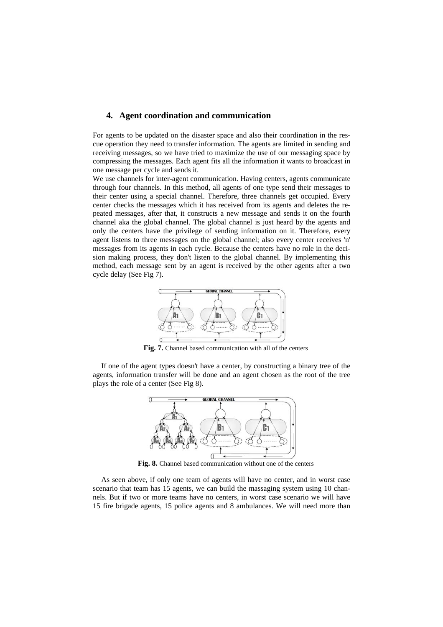## **4. Agent coordination and communication**

For agents to be updated on the disaster space and also their coordination in the rescue operation they need to transfer information. The agents are limited in sending and receiving messages, so we have tried to maximize the use of our messaging space by compressing the messages. Each agent fits all the information it wants to broadcast in one message per cycle and sends it.

We use channels for inter-agent communication. Having centers, agents communicate through four channels. In this method, all agents of one type send their messages to their center using a special channel. Therefore, three channels get occupied. Every center checks the messages which it has received from its agents and deletes the repeated messages, after that, it constructs a new message and sends it on the fourth channel aka the global channel. The global channel is just heard by the agents and only the centers have the privilege of sending information on it. Therefore, every agent listens to three messages on the global channel; also every center receives 'n' messages from its agents in each cycle. Because the centers have no role in the decision making process, they don't listen to the global channel. By implementing this method, each message sent by an agent is received by the other agents after a two cycle delay (See Fig 7).



**Fig. 7.** Channel based communication with all of the centers

If one of the agent types doesn't have a center, by constructing a binary tree of the agents, information transfer will be done and an agent chosen as the root of the tree plays the role of a center (See Fig 8).



**Fig. 8.** Channel based communication without one of the centers

As seen above, if only one team of agents will have no center, and in worst case scenario that team has 15 agents, we can build the massaging system using 10 channels. But if two or more teams have no centers, in worst case scenario we will have 15 fire brigade agents, 15 police agents and 8 ambulances. We will need more than